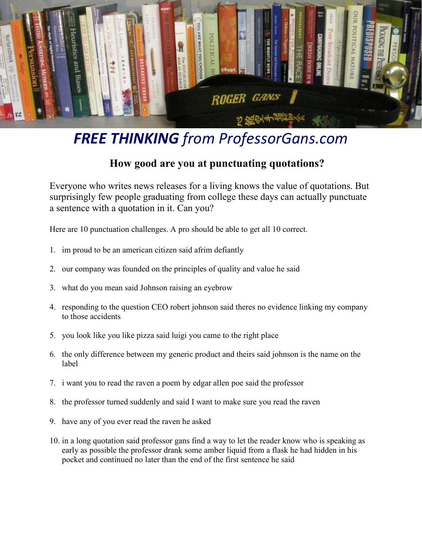

### *FREE THINKING from ProfessorGans.com*

#### **How good are you at punctuating quotations?**

Everyone who writes news releases for a living knows the value of quotations. But surprisingly few people graduating from college these days can actually punctuate a sentence with a quotation in it. Can you?

Here are 10 punctuation challenges. A pro should be able to get all 10 correct.

- 1. im proud to be an american citizen said afrim defiantly
- 2. our company was founded on the principles of quality and value he said
- 3. what do you mean said Johnson raising an eyebrow
- 4. responding to the question CEO robert johnson said theres no evidence linking my company to those accidents
- 5. you look like you like pizza said luigi you came to the right place
- 6. the only difference between my generic product and theirs said johnson is the name on the label
- 7. i want you to read the raven a poem by edgar allen poe said the professor
- 8. the professor turned suddenly and said I want to make sure you read the raven
- 9. have any of you ever read the raven he asked
- 10. in a long quotation said professor gans find a way to let the reader know who is speaking as early as possible the professor drank some amber liquid from a flask he had hidden in his pocket and continued no later than the end of the first sentence he said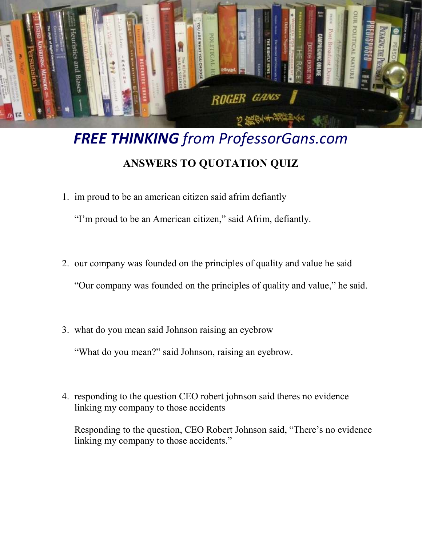

# *FREE THINKING from ProfessorGans.com*  **ANSWERS TO QUOTATION QUIZ**

1. im proud to be an american citizen said afrim defiantly

"I'm proud to be an American citizen," said Afrim, defiantly.

2. our company was founded on the principles of quality and value he said

"Our company was founded on the principles of quality and value," he said.

3. what do you mean said Johnson raising an eyebrow

"What do you mean?" said Johnson, raising an eyebrow.

4. responding to the question CEO robert johnson said theres no evidence linking my company to those accidents

Responding to the question, CEO Robert Johnson said, "There's no evidence linking my company to those accidents."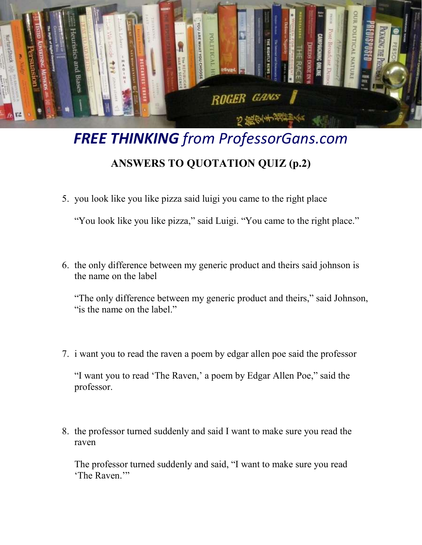

## *FREE THINKING from ProfessorGans.com*  **ANSWERS TO QUOTATION QUIZ (p.2)**

5. you look like you like pizza said luigi you came to the right place

"You look like you like pizza," said Luigi. "You came to the right place."

6. the only difference between my generic product and theirs said johnson is the name on the label

"The only difference between my generic product and theirs," said Johnson, "is the name on the label."

7. i want you to read the raven a poem by edgar allen poe said the professor

"I want you to read 'The Raven,' a poem by Edgar Allen Poe," said the professor.

8. the professor turned suddenly and said I want to make sure you read the raven

The professor turned suddenly and said, "I want to make sure you read 'The Raven.'"